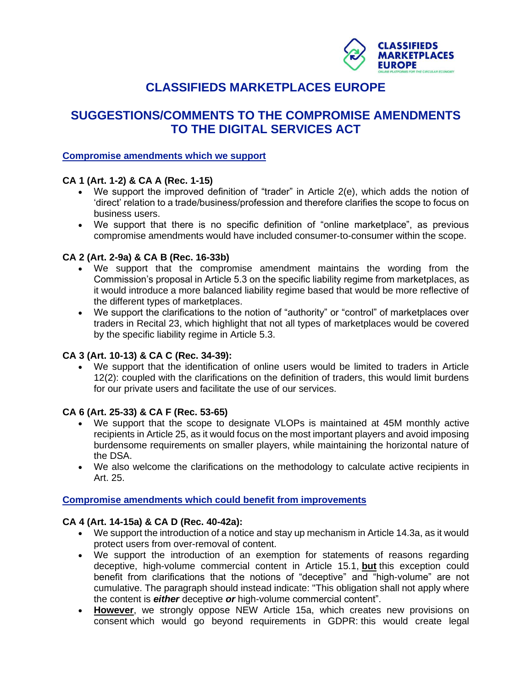

# **CLASSIFIEDS MARKETPLACES EUROPE**

## **SUGGESTIONS/COMMENTS TO THE COMPROMISE AMENDMENTS TO THE DIGITAL SERVICES ACT**

#### **Compromise amendments which we support**

## **CA 1 (Art. 1-2) & CA A (Rec. 1-15)**

- We support the improved definition of "trader" in Article 2(e), which adds the notion of 'direct' relation to a trade/business/profession and therefore clarifies the scope to focus on business users.
- We support that there is no specific definition of "online marketplace", as previous compromise amendments would have included consumer-to-consumer within the scope.

#### **CA 2 (Art. 2-9a) & CA B (Rec. 16-33b)**

- We support that the compromise amendment maintains the wording from the Commission's proposal in Article 5.3 on the specific liability regime from marketplaces, as it would introduce a more balanced liability regime based that would be more reflective of the different types of marketplaces.
- We support the clarifications to the notion of "authority" or "control" of marketplaces over traders in Recital 23, which highlight that not all types of marketplaces would be covered by the specific liability regime in Article 5.3.

## **CA 3 (Art. 10-13) & CA C (Rec. 34-39):**

• We support that the identification of online users would be limited to traders in Article 12(2): coupled with the clarifications on the definition of traders, this would limit burdens for our private users and facilitate the use of our services.

#### **CA 6 (Art. 25-33) & CA F (Rec. 53-65)**

- We support that the scope to designate VLOPs is maintained at 45M monthly active recipients in Article 25, as it would focus on the most important players and avoid imposing burdensome requirements on smaller players, while maintaining the horizontal nature of the DSA.
- We also welcome the clarifications on the methodology to calculate active recipients in Art. 25.

#### **Compromise amendments which could benefit from improvements**

## **CA 4 (Art. 14-15a) & CA D (Rec. 40-42a):**

- We support the introduction of a notice and stay up mechanism in Article 14.3a, as it would protect users from over-removal of content.
- We support the introduction of an exemption for statements of reasons regarding deceptive, high-volume commercial content in Article 15.1, **but** this exception could benefit from clarifications that the notions of "deceptive" and "high-volume" are not cumulative. The paragraph should instead indicate: "This obligation shall not apply where the content is *either* deceptive *or* high-volume commercial content".
- **However**, we strongly oppose NEW Article 15a, which creates new provisions on consent which would go beyond requirements in GDPR: this would create legal